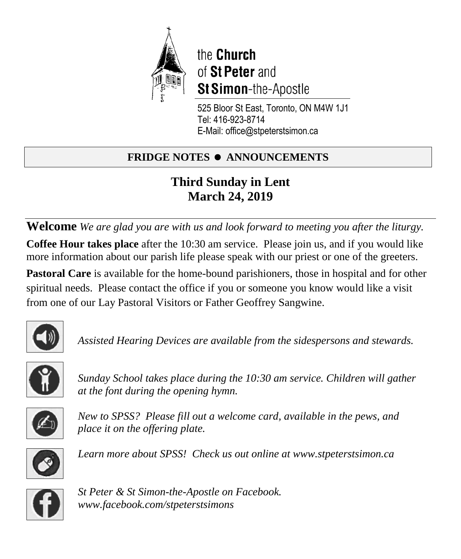

the Church of St Peter and **St Simon-the-Apostle** 

525 Bloor St East, Toronto, ON M4W 1J1 Tel: 416-923-8714 E-Mail: office@stpeterstsimon.ca

# **FRIDGE NOTES • ANNOUNCEMENTS**

# **Third Sunday in Lent March 24, 2019**

**Welcome** *We are glad you are with us and look forward to meeting you after the liturgy.* **Coffee Hour takes place** after the 10:30 am service. Please join us, and if you would like more information about our parish life please speak with our priest or one of the greeters.

**Pastoral Care** is available for the home-bound parishioners, those in hospital and for other spiritual needs. Please contact the office if you or someone you know would like a visit from one of our Lay Pastoral Visitors or Father Geoffrey Sangwine.



*Assisted Hearing Devices are available from the sidespersons and stewards.*



*Sunday School takes place during the 10:30 am service. Children will gather at the font during the opening hymn.*



*New to SPSS? Please fill out a welcome card, available in the pews, and place it on the offering plate.* 



*Learn more about SPSS! Check us out online at www.stpeterstsimon.ca* 



*St Peter & St Simon-the-Apostle on Facebook. www.facebook.com/stpeterstsimons*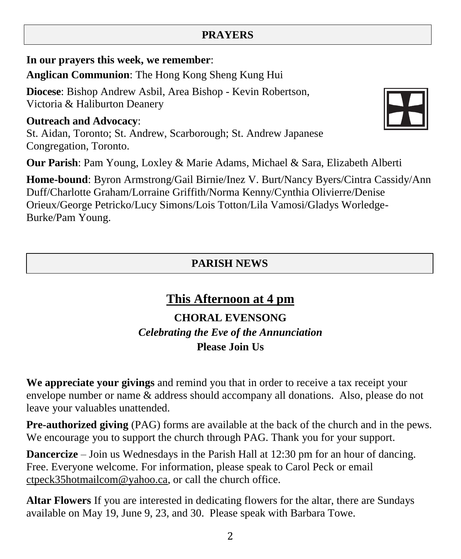# 2

### **PRAYERS**

**In our prayers this week, we remember**:

**Anglican Communion**: The Hong Kong Sheng Kung Hui

**Diocese**: Bishop Andrew Asbil, Area Bishop - Kevin Robertson, Victoria & Haliburton Deanery

### **Outreach and Advocacy**:

St. Aidan, Toronto; St. Andrew, Scarborough; St. Andrew Japanese Congregation, Toronto.

**Our Parish**: Pam Young, Loxley & Marie Adams, Michael & Sara, Elizabeth Alberti

**Home-bound**: Byron Armstrong/Gail Birnie/Inez V. Burt/Nancy Byers/Cintra Cassidy/Ann Duff/Charlotte Graham/Lorraine Griffith/Norma Kenny/Cynthia Olivierre/Denise Orieux/George Petricko/Lucy Simons/Lois Totton/Lila Vamosi/Gladys Worledge-Burke/Pam Young.

### **PARISH NEWS**

# **This Afternoon at 4 pm**

### **CHORAL EVENSONG** *Celebrating the Eve of the Annunciation* **Please Join Us**

**We appreciate your givings** and remind you that in order to receive a tax receipt your envelope number or name & address should accompany all donations. Also, please do not leave your valuables unattended.

**Pre-authorized giving** (PAG) forms are available at the back of the church and in the pews. We encourage you to support the church through PAG. Thank you for your support.

**Dancercize** – Join us Wednesdays in the Parish Hall at 12:30 pm for an hour of dancing. Free. Everyone welcome. For information, please speak to Carol Peck or email [ctpeck35hotmailcom@](mailto:ctpeck35@hotmail.com)yahoo.ca, or call the church office.

**Altar Flowers** If you are interested in dedicating flowers for the altar, there are Sundays available on May 19, June 9, 23, and 30. Please speak with Barbara Towe.

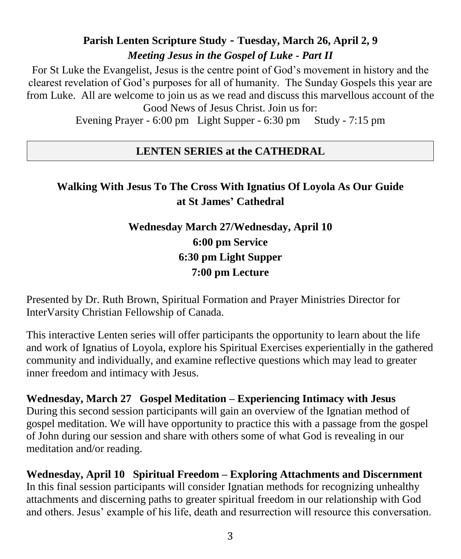# **Parish Lenten Scripture Study - Tuesday, March 26, April 2, 9** *Meeting Jesus in the Gospel of Luke - Part II*

For St Luke the Evangelist, Jesus is the centre point of God's movement in history and the clearest revelation of God's purposes for all of humanity. The Sunday Gospels this year are from Luke. All are welcome to join us as we read and discuss this marvellous account of the Good News of Jesus Christ. Join us for:

Evening Prayer - 6:00 pm Light Supper - 6:30 pm Study - 7:15 pm

### **LENTEN SERIES at the CATHEDRAL**

# **Walking With Jesus To The Cross With Ignatius Of Loyola As Our Guide at St James' Cathedral**

# **Wednesday March 27/Wednesday, April 10 6:00 pm Service 6:30 pm Light Supper 7:00 pm Lecture**

Presented by Dr. Ruth Brown, Spiritual Formation and Prayer Ministries Director for InterVarsity Christian Fellowship of Canada.

This interactive Lenten series will offer participants the opportunity to learn about the life and work of Ignatius of Loyola, explore his Spiritual Exercises experientially in the gathered community and individually, and examine reflective questions which may lead to greater inner freedom and intimacy with Jesus.

**Wednesday, March 27 Gospel Meditation – Experiencing Intimacy with Jesus** During this second session participants will gain an overview of the Ignatian method of gospel meditation. We will have opportunity to practice this with a passage from the gospel of John during our session and share with others some of what God is revealing in our meditation and/or reading.

**Wednesday, April 10 Spiritual Freedom – Exploring Attachments and Discernment** In this final session participants will consider Ignatian methods for recognizing unhealthy attachments and discerning paths to greater spiritual freedom in our relationship with God and others. Jesus' example of his life, death and resurrection will resource this conversation.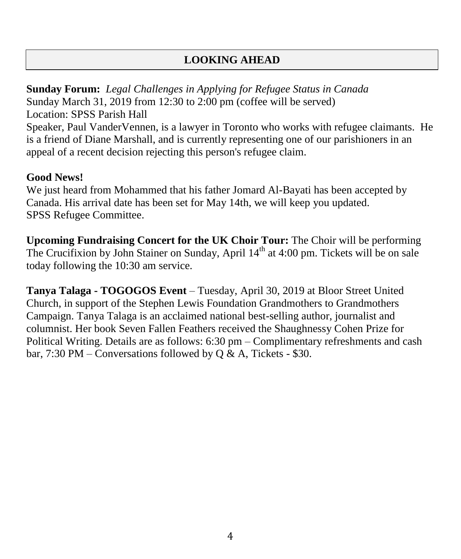### **LOOKING AHEAD**

**Sunday Forum:** *Legal Challenges in Applying for Refugee Status in Canada* Sunday March 31, 2019 from 12:30 to 2:00 pm (coffee will be served) Location: SPSS Parish Hall

Speaker, Paul VanderVennen, is a lawyer in Toronto who works with refugee claimants. He is a friend of Diane Marshall, and is currently representing one of our parishioners in an appeal of a recent decision rejecting this person's refugee claim.

### **Good News!**

We just heard from Mohammed that his father Jomard Al-Bayati has been accepted by Canada. His arrival date has been set for May 14th, we will keep you updated. SPSS Refugee Committee.

**Upcoming Fundraising Concert for the UK Choir Tour:** The Choir will be performing The Crucifixion by John Stainer on Sunday, April 14<sup>th</sup> at 4:00 pm. Tickets will be on sale today following the 10:30 am service.

**Tanya Talaga - TOGOGOS Event** – Tuesday, April 30, 2019 at Bloor Street United Church, in support of the Stephen Lewis Foundation Grandmothers to Grandmothers Campaign. Tanya Talaga is an acclaimed national best-selling author, journalist and columnist. Her book Seven Fallen Feathers received the Shaughnessy Cohen Prize for Political Writing. Details are as follows: 6:30 pm – Complimentary refreshments and cash bar, 7:30 PM – Conversations followed by  $Q & A$ , Tickets - \$30.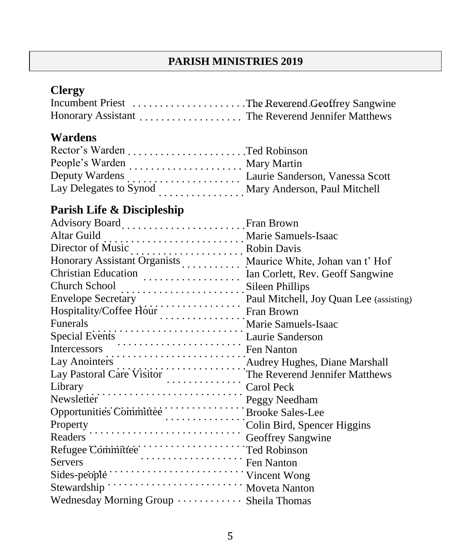### **PARISH MINISTRIES 2019**

# **Clergy**

| Honorary Assistant The Reverend Jennifer Matthews |  |
|---------------------------------------------------|--|

# **Wardens**

|                        | Mary Martin                  |
|------------------------|------------------------------|
|                        |                              |
| Lay Delegates to Synod | Mary Anderson, Paul Mitchell |
|                        |                              |

# **Parish Life & Discipleship**

| Advisory Board  Fran Brown                                                                                                                                                                                                                               |  |
|----------------------------------------------------------------------------------------------------------------------------------------------------------------------------------------------------------------------------------------------------------|--|
| Altar Guild<br>Director of Music<br>Honorary Assistant Organists<br>Maurice White, Johan van t' Hof<br>Christian: Editor is a contract of Maurice White, Johan van t' Hof                                                                                |  |
|                                                                                                                                                                                                                                                          |  |
|                                                                                                                                                                                                                                                          |  |
|                                                                                                                                                                                                                                                          |  |
| Church School<br>Filips                                                                                                                                                                                                                                  |  |
|                                                                                                                                                                                                                                                          |  |
|                                                                                                                                                                                                                                                          |  |
| Envelope Secretary<br>Hospitality/Coffee Hour<br>Fran Brown<br>Marie Samuels-Isaac<br>Marie Samuels-Isaac                                                                                                                                                |  |
| Funerals<br>Special Events<br>Laurie Samuels-Isaac<br>Laurie Sanderson<br>Laurie Sanderson<br>Lay Anointers<br>Lay Anointers<br>Lay Pastoral Care Visitor<br>Lay Pastoral Care Visitor<br>Library<br>Carol Peck<br>Newsletter<br>Newsletter<br>Newslette |  |
|                                                                                                                                                                                                                                                          |  |
|                                                                                                                                                                                                                                                          |  |
|                                                                                                                                                                                                                                                          |  |
|                                                                                                                                                                                                                                                          |  |
| Peggy Needham<br>Opportunities Committee<br>Property<br>Peggy Needham<br>Peggy Needham<br>Property                                                                                                                                                       |  |
|                                                                                                                                                                                                                                                          |  |
|                                                                                                                                                                                                                                                          |  |
| Property<br>Readers<br>Colin Bird, Spencer Higgins<br>Geoffrey Sangwine                                                                                                                                                                                  |  |
| Refugee Committee<br>Servers<br>Servers Fen Nanton                                                                                                                                                                                                       |  |
|                                                                                                                                                                                                                                                          |  |
| Sides-people Communication Vincent Wong                                                                                                                                                                                                                  |  |
|                                                                                                                                                                                                                                                          |  |
| Wednesday Morning Group  Sheila Thomas                                                                                                                                                                                                                   |  |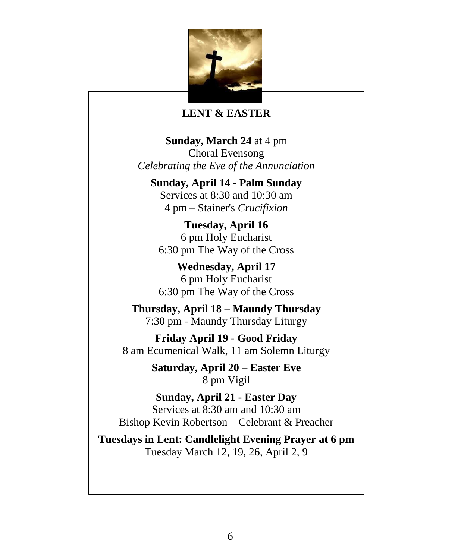

#### **LENT & EASTER**

**Sunday, March 24** at 4 pm Choral Evensong *Celebrating the Eve of the Annunciation*

**Sunday, April 14 - Palm Sunday** Services at 8:30 and 10:30 am 4 pm – Stainer's *Crucifixion*

**Tuesday, April 16** 6 pm Holy Eucharist 6:30 pm The Way of the Cross

**Wednesday, April 17** 6 pm Holy Eucharist 6:30 pm The Way of the Cross

**Thursday, April 18** – **Maundy Thursday** 7:30 pm - Maundy Thursday Liturgy

**Friday April 19 - Good Friday** 8 am Ecumenical Walk, 11 am Solemn Liturgy

> **Saturday, April 20 – Easter Eve** 8 pm Vigil

**Sunday, April 21 - Easter Day** Services at 8:30 am and 10:30 am Bishop Kevin Robertson – Celebrant & Preacher

**Tuesdays in Lent: Candlelight Evening Prayer at 6 pm** Tuesday March 12, 19, 26, April 2, 9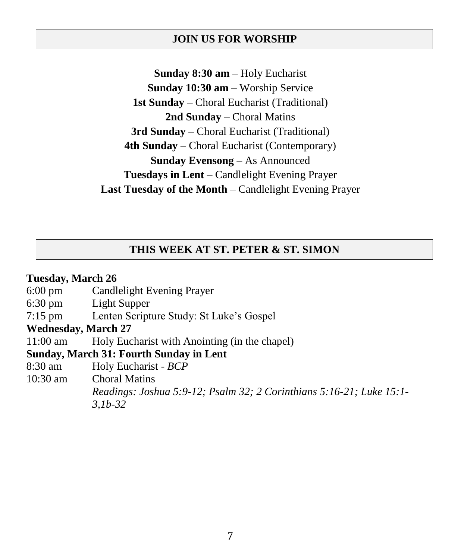#### **JOIN US FOR WORSHIP**

**Sunday 8:30 am** – Holy Eucharist **Sunday 10:30 am** – Worship Service **1st Sunday** – Choral Eucharist (Traditional) **2nd Sunday** – Choral Matins **3rd Sunday** – Choral Eucharist (Traditional) **4th Sunday** – Choral Eucharist (Contemporary) **Sunday Evensong** – As Announced **Tuesdays in Lent** – Candlelight Evening Prayer **Last Tuesday of the Month** – Candlelight Evening Prayer

### **THIS WEEK AT ST. PETER & ST. SIMON**

### **Tuesday, March 26** 6:00 pm Candlelight Evening Prayer 6:30 pm Light Supper 7:15 pm Lenten Scripture Study: St Luke's Gospel **Wednesday, March 27** 11:00 am Holy Eucharist with Anointing (in the chapel) **Sunday, March 31: Fourth Sunday in Lent** 8:30 am Holy Eucharist - *BCP* 10:30 am Choral Matins *Readings: Joshua 5:9-12; Psalm 32; 2 Corinthians 5:16-21; Luke 15:1- 3,1b-32*